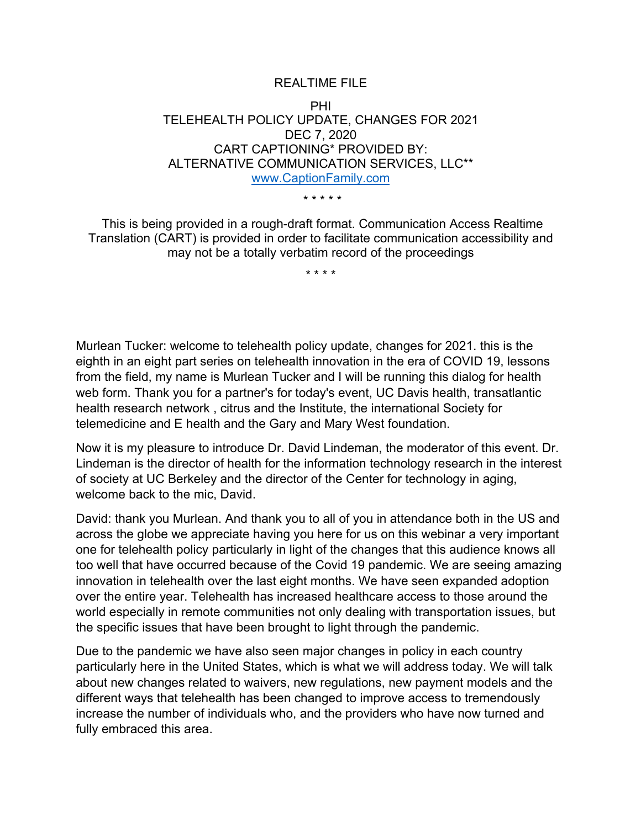## REALTIME FILE

## PHI TELEHEALTH POLICY UPDATE, CHANGES FOR 2021 DEC 7, 2020 CART CAPTIONING\* PROVIDED BY: ALTERNATIVE COMMUNICATION SERVICES, LLC\*\* www.CaptionFamily.com

\* \* \* \* \*

This is being provided in a rough-draft format. Communication Access Realtime Translation (CART) is provided in order to facilitate communication accessibility and may not be a totally verbatim record of the proceedings

\* \* \* \*

Murlean Tucker: welcome to telehealth policy update, changes for 2021. this is the eighth in an eight part series on telehealth innovation in the era of COVID 19, lessons from the field, my name is Murlean Tucker and I will be running this dialog for health web form. Thank you for a partner's for today's event, UC Davis health, transatlantic health research network , citrus and the Institute, the international Society for telemedicine and E health and the Gary and Mary West foundation.

Now it is my pleasure to introduce Dr. David Lindeman, the moderator of this event. Dr. Lindeman is the director of health for the information technology research in the interest of society at UC Berkeley and the director of the Center for technology in aging, welcome back to the mic, David.

David: thank you Murlean. And thank you to all of you in attendance both in the US and across the globe we appreciate having you here for us on this webinar a very important one for telehealth policy particularly in light of the changes that this audience knows all too well that have occurred because of the Covid 19 pandemic. We are seeing amazing innovation in telehealth over the last eight months. We have seen expanded adoption over the entire year. Telehealth has increased healthcare access to those around the world especially in remote communities not only dealing with transportation issues, but the specific issues that have been brought to light through the pandemic.

Due to the pandemic we have also seen major changes in policy in each country particularly here in the United States, which is what we will address today. We will talk about new changes related to waivers, new regulations, new payment models and the different ways that telehealth has been changed to improve access to tremendously increase the number of individuals who, and the providers who have now turned and fully embraced this area.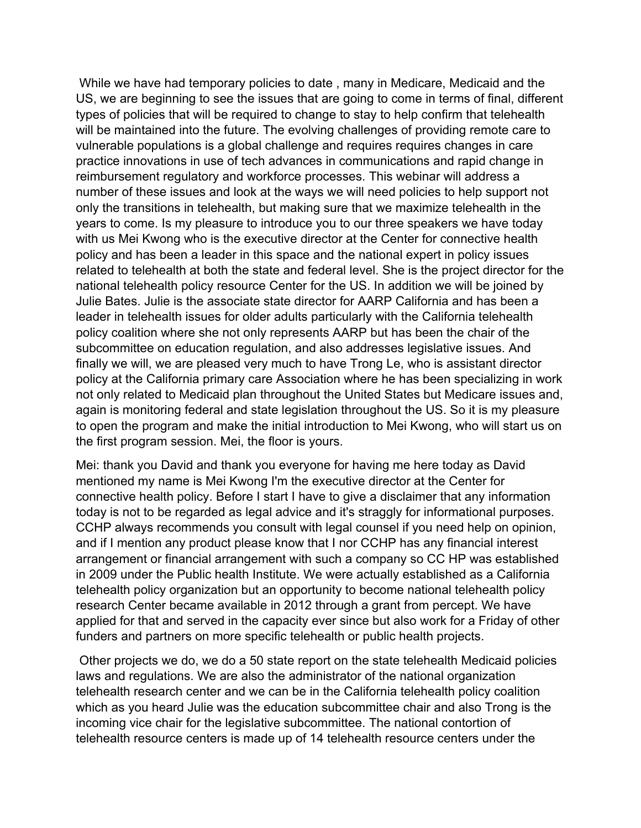While we have had temporary policies to date , many in Medicare, Medicaid and the US, we are beginning to see the issues that are going to come in terms of final, different types of policies that will be required to change to stay to help confirm that telehealth will be maintained into the future. The evolving challenges of providing remote care to vulnerable populations is a global challenge and requires requires changes in care practice innovations in use of tech advances in communications and rapid change in reimbursement regulatory and workforce processes. This webinar will address a number of these issues and look at the ways we will need policies to help support not only the transitions in telehealth, but making sure that we maximize telehealth in the years to come. Is my pleasure to introduce you to our three speakers we have today with us Mei Kwong who is the executive director at the Center for connective health policy and has been a leader in this space and the national expert in policy issues related to telehealth at both the state and federal level. She is the project director for the national telehealth policy resource Center for the US. In addition we will be joined by Julie Bates. Julie is the associate state director for AARP California and has been a leader in telehealth issues for older adults particularly with the California telehealth policy coalition where she not only represents AARP but has been the chair of the subcommittee on education regulation, and also addresses legislative issues. And finally we will, we are pleased very much to have Trong Le, who is assistant director policy at the California primary care Association where he has been specializing in work not only related to Medicaid plan throughout the United States but Medicare issues and, again is monitoring federal and state legislation throughout the US. So it is my pleasure to open the program and make the initial introduction to Mei Kwong, who will start us on the first program session. Mei, the floor is yours.

Mei: thank you David and thank you everyone for having me here today as David mentioned my name is Mei Kwong I'm the executive director at the Center for connective health policy. Before I start I have to give a disclaimer that any information today is not to be regarded as legal advice and it's straggly for informational purposes. CCHP always recommends you consult with legal counsel if you need help on opinion, and if I mention any product please know that I nor CCHP has any financial interest arrangement or financial arrangement with such a company so CC HP was established in 2009 under the Public health Institute. We were actually established as a California telehealth policy organization but an opportunity to become national telehealth policy research Center became available in 2012 through a grant from percept. We have applied for that and served in the capacity ever since but also work for a Friday of other funders and partners on more specific telehealth or public health projects.

Other projects we do, we do a 50 state report on the state telehealth Medicaid policies laws and regulations. We are also the administrator of the national organization telehealth research center and we can be in the California telehealth policy coalition which as you heard Julie was the education subcommittee chair and also Trong is the incoming vice chair for the legislative subcommittee. The national contortion of telehealth resource centers is made up of 14 telehealth resource centers under the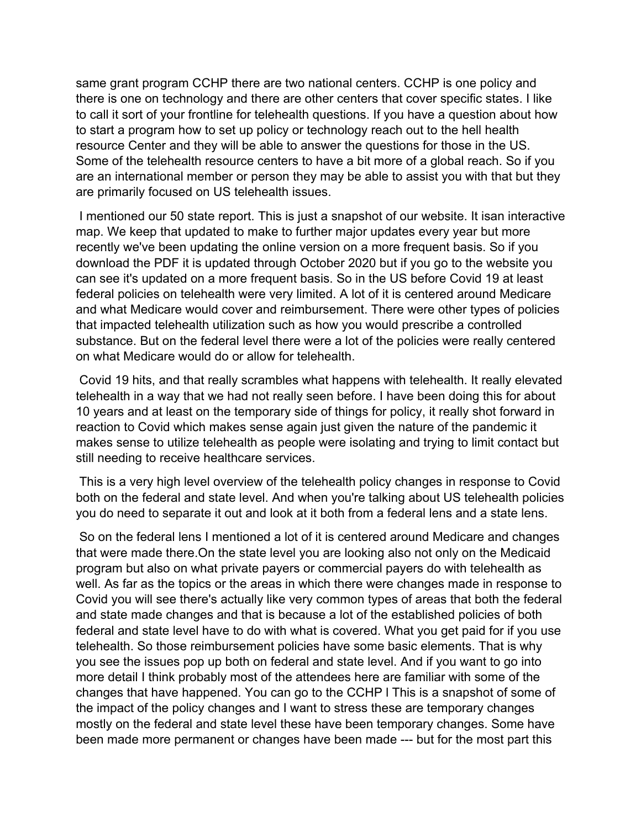same grant program CCHP there are two national centers. CCHP is one policy and there is one on technology and there are other centers that cover specific states. I like to call it sort of your frontline for telehealth questions. If you have a question about how to start a program how to set up policy or technology reach out to the hell health resource Center and they will be able to answer the questions for those in the US. Some of the telehealth resource centers to have a bit more of a global reach. So if you are an international member or person they may be able to assist you with that but they are primarily focused on US telehealth issues.

I mentioned our 50 state report. This is just a snapshot of our website. It isan interactive map. We keep that updated to make to further major updates every year but more recently we've been updating the online version on a more frequent basis. So if you download the PDF it is updated through October 2020 but if you go to the website you can see it's updated on a more frequent basis. So in the US before Covid 19 at least federal policies on telehealth were very limited. A lot of it is centered around Medicare and what Medicare would cover and reimbursement. There were other types of policies that impacted telehealth utilization such as how you would prescribe a controlled substance. But on the federal level there were a lot of the policies were really centered on what Medicare would do or allow for telehealth.

Covid 19 hits, and that really scrambles what happens with telehealth. It really elevated telehealth in a way that we had not really seen before. I have been doing this for about 10 years and at least on the temporary side of things for policy, it really shot forward in reaction to Covid which makes sense again just given the nature of the pandemic it makes sense to utilize telehealth as people were isolating and trying to limit contact but still needing to receive healthcare services.

This is a very high level overview of the telehealth policy changes in response to Covid both on the federal and state level. And when you're talking about US telehealth policies you do need to separate it out and look at it both from a federal lens and a state lens.

So on the federal lens I mentioned a lot of it is centered around Medicare and changes that were made there.On the state level you are looking also not only on the Medicaid program but also on what private payers or commercial payers do with telehealth as well. As far as the topics or the areas in which there were changes made in response to Covid you will see there's actually like very common types of areas that both the federal and state made changes and that is because a lot of the established policies of both federal and state level have to do with what is covered. What you get paid for if you use telehealth. So those reimbursement policies have some basic elements. That is why you see the issues pop up both on federal and state level. And if you want to go into more detail I think probably most of the attendees here are familiar with some of the changes that have happened. You can go to the CCHP l This is a snapshot of some of the impact of the policy changes and I want to stress these are temporary changes mostly on the federal and state level these have been temporary changes. Some have been made more permanent or changes have been made --- but for the most part this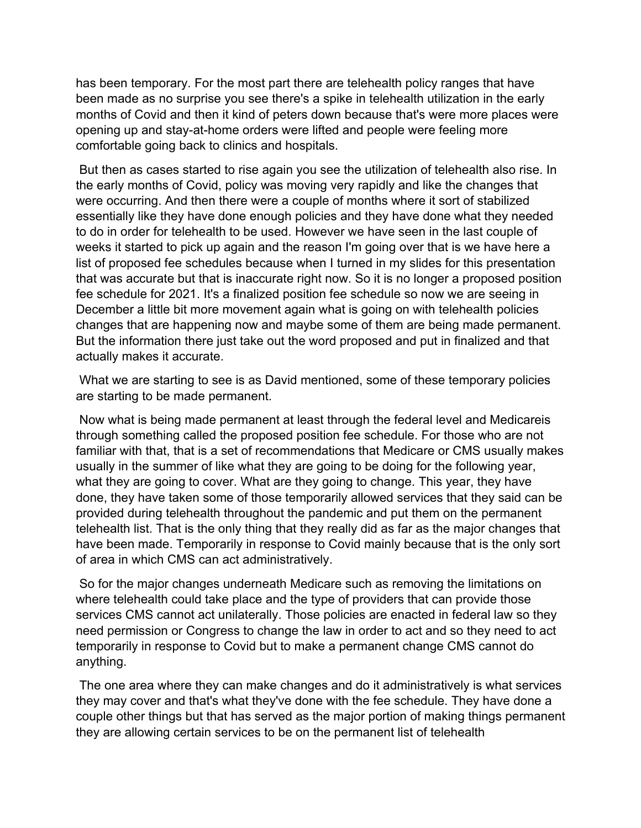has been temporary. For the most part there are telehealth policy ranges that have been made as no surprise you see there's a spike in telehealth utilization in the early months of Covid and then it kind of peters down because that's were more places were opening up and stay-at-home orders were lifted and people were feeling more comfortable going back to clinics and hospitals.

But then as cases started to rise again you see the utilization of telehealth also rise. In the early months of Covid, policy was moving very rapidly and like the changes that were occurring. And then there were a couple of months where it sort of stabilized essentially like they have done enough policies and they have done what they needed to do in order for telehealth to be used. However we have seen in the last couple of weeks it started to pick up again and the reason I'm going over that is we have here a list of proposed fee schedules because when I turned in my slides for this presentation that was accurate but that is inaccurate right now. So it is no longer a proposed position fee schedule for 2021. It's a finalized position fee schedule so now we are seeing in December a little bit more movement again what is going on with telehealth policies changes that are happening now and maybe some of them are being made permanent. But the information there just take out the word proposed and put in finalized and that actually makes it accurate.

What we are starting to see is as David mentioned, some of these temporary policies are starting to be made permanent.

Now what is being made permanent at least through the federal level and Medicareis through something called the proposed position fee schedule. For those who are not familiar with that, that is a set of recommendations that Medicare or CMS usually makes usually in the summer of like what they are going to be doing for the following year, what they are going to cover. What are they going to change. This year, they have done, they have taken some of those temporarily allowed services that they said can be provided during telehealth throughout the pandemic and put them on the permanent telehealth list. That is the only thing that they really did as far as the major changes that have been made. Temporarily in response to Covid mainly because that is the only sort of area in which CMS can act administratively.

So for the major changes underneath Medicare such as removing the limitations on where telehealth could take place and the type of providers that can provide those services CMS cannot act unilaterally. Those policies are enacted in federal law so they need permission or Congress to change the law in order to act and so they need to act temporarily in response to Covid but to make a permanent change CMS cannot do anything.

The one area where they can make changes and do it administratively is what services they may cover and that's what they've done with the fee schedule. They have done a couple other things but that has served as the major portion of making things permanent they are allowing certain services to be on the permanent list of telehealth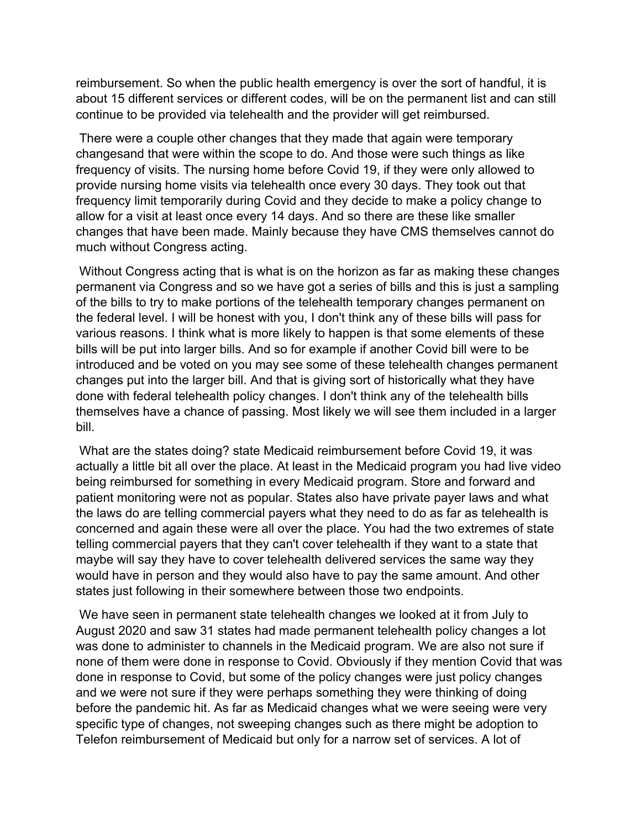reimbursement. So when the public health emergency is over the sort of handful, it is about 15 different services or different codes, will be on the permanent list and can still continue to be provided via telehealth and the provider will get reimbursed.

There were a couple other changes that they made that again were temporary changesand that were within the scope to do. And those were such things as like frequency of visits. The nursing home before Covid 19, if they were only allowed to provide nursing home visits via telehealth once every 30 days. They took out that frequency limit temporarily during Covid and they decide to make a policy change to allow for a visit at least once every 14 days. And so there are these like smaller changes that have been made. Mainly because they have CMS themselves cannot do much without Congress acting.

Without Congress acting that is what is on the horizon as far as making these changes permanent via Congress and so we have got a series of bills and this is just a sampling of the bills to try to make portions of the telehealth temporary changes permanent on the federal level. I will be honest with you, I don't think any of these bills will pass for various reasons. I think what is more likely to happen is that some elements of these bills will be put into larger bills. And so for example if another Covid bill were to be introduced and be voted on you may see some of these telehealth changes permanent changes put into the larger bill. And that is giving sort of historically what they have done with federal telehealth policy changes. I don't think any of the telehealth bills themselves have a chance of passing. Most likely we will see them included in a larger bill.

What are the states doing? state Medicaid reimbursement before Covid 19, it was actually a little bit all over the place. At least in the Medicaid program you had live video being reimbursed for something in every Medicaid program. Store and forward and patient monitoring were not as popular. States also have private payer laws and what the laws do are telling commercial payers what they need to do as far as telehealth is concerned and again these were all over the place. You had the two extremes of state telling commercial payers that they can't cover telehealth if they want to a state that maybe will say they have to cover telehealth delivered services the same way they would have in person and they would also have to pay the same amount. And other states just following in their somewhere between those two endpoints.

We have seen in permanent state telehealth changes we looked at it from July to August 2020 and saw 31 states had made permanent telehealth policy changes a lot was done to administer to channels in the Medicaid program. We are also not sure if none of them were done in response to Covid. Obviously if they mention Covid that was done in response to Covid, but some of the policy changes were just policy changes and we were not sure if they were perhaps something they were thinking of doing before the pandemic hit. As far as Medicaid changes what we were seeing were very specific type of changes, not sweeping changes such as there might be adoption to Telefon reimbursement of Medicaid but only for a narrow set of services. A lot of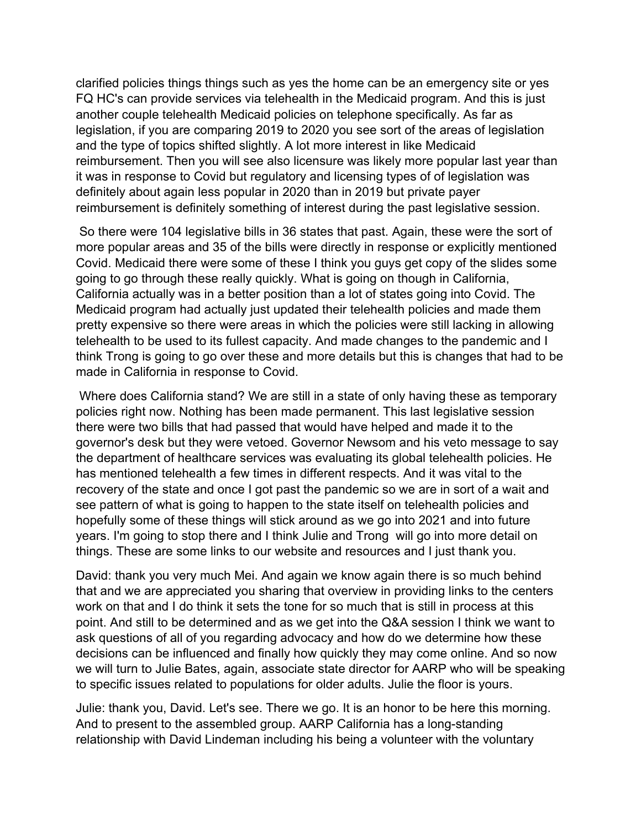clarified policies things things such as yes the home can be an emergency site or yes FQ HC's can provide services via telehealth in the Medicaid program. And this is just another couple telehealth Medicaid policies on telephone specifically. As far as legislation, if you are comparing 2019 to 2020 you see sort of the areas of legislation and the type of topics shifted slightly. A lot more interest in like Medicaid reimbursement. Then you will see also licensure was likely more popular last year than it was in response to Covid but regulatory and licensing types of of legislation was definitely about again less popular in 2020 than in 2019 but private payer reimbursement is definitely something of interest during the past legislative session.

So there were 104 legislative bills in 36 states that past. Again, these were the sort of more popular areas and 35 of the bills were directly in response or explicitly mentioned Covid. Medicaid there were some of these I think you guys get copy of the slides some going to go through these really quickly. What is going on though in California, California actually was in a better position than a lot of states going into Covid. The Medicaid program had actually just updated their telehealth policies and made them pretty expensive so there were areas in which the policies were still lacking in allowing telehealth to be used to its fullest capacity. And made changes to the pandemic and I think Trong is going to go over these and more details but this is changes that had to be made in California in response to Covid.

Where does California stand? We are still in a state of only having these as temporary policies right now. Nothing has been made permanent. This last legislative session there were two bills that had passed that would have helped and made it to the governor's desk but they were vetoed. Governor Newsom and his veto message to say the department of healthcare services was evaluating its global telehealth policies. He has mentioned telehealth a few times in different respects. And it was vital to the recovery of the state and once I got past the pandemic so we are in sort of a wait and see pattern of what is going to happen to the state itself on telehealth policies and hopefully some of these things will stick around as we go into 2021 and into future years. I'm going to stop there and I think Julie and Trong will go into more detail on things. These are some links to our website and resources and I just thank you.

David: thank you very much Mei. And again we know again there is so much behind that and we are appreciated you sharing that overview in providing links to the centers work on that and I do think it sets the tone for so much that is still in process at this point. And still to be determined and as we get into the Q&A session I think we want to ask questions of all of you regarding advocacy and how do we determine how these decisions can be influenced and finally how quickly they may come online. And so now we will turn to Julie Bates, again, associate state director for AARP who will be speaking to specific issues related to populations for older adults. Julie the floor is yours.

Julie: thank you, David. Let's see. There we go. It is an honor to be here this morning. And to present to the assembled group. AARP California has a long-standing relationship with David Lindeman including his being a volunteer with the voluntary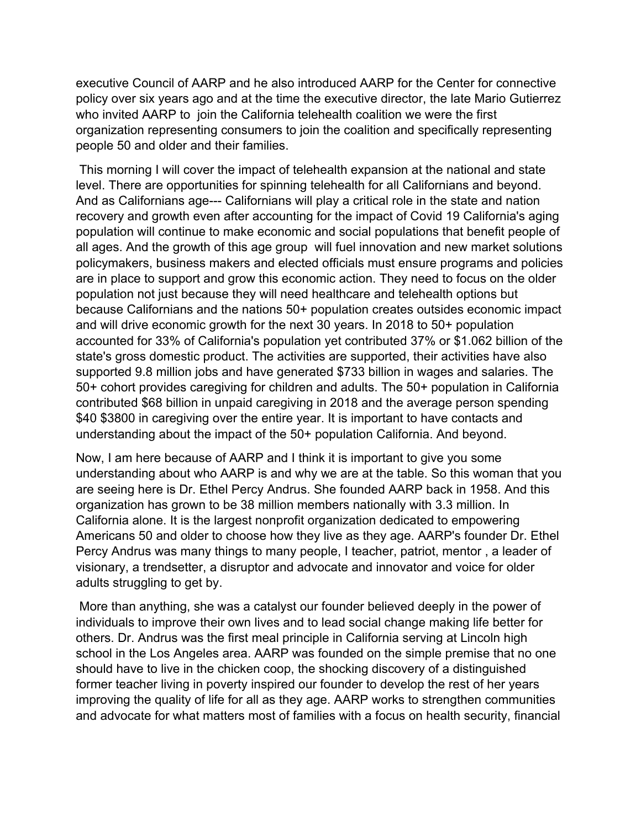executive Council of AARP and he also introduced AARP for the Center for connective policy over six years ago and at the time the executive director, the late Mario Gutierrez who invited AARP to join the California telehealth coalition we were the first organization representing consumers to join the coalition and specifically representing people 50 and older and their families.

This morning I will cover the impact of telehealth expansion at the national and state level. There are opportunities for spinning telehealth for all Californians and beyond. And as Californians age--- Californians will play a critical role in the state and nation recovery and growth even after accounting for the impact of Covid 19 California's aging population will continue to make economic and social populations that benefit people of all ages. And the growth of this age group will fuel innovation and new market solutions policymakers, business makers and elected officials must ensure programs and policies are in place to support and grow this economic action. They need to focus on the older population not just because they will need healthcare and telehealth options but because Californians and the nations 50+ population creates outsides economic impact and will drive economic growth for the next 30 years. In 2018 to 50+ population accounted for 33% of California's population yet contributed 37% or \$1.062 billion of the state's gross domestic product. The activities are supported, their activities have also supported 9.8 million jobs and have generated \$733 billion in wages and salaries. The 50+ cohort provides caregiving for children and adults. The 50+ population in California contributed \$68 billion in unpaid caregiving in 2018 and the average person spending \$40 \$3800 in caregiving over the entire year. It is important to have contacts and understanding about the impact of the 50+ population California. And beyond.

Now, I am here because of AARP and I think it is important to give you some understanding about who AARP is and why we are at the table. So this woman that you are seeing here is Dr. Ethel Percy Andrus. She founded AARP back in 1958. And this organization has grown to be 38 million members nationally with 3.3 million. In California alone. It is the largest nonprofit organization dedicated to empowering Americans 50 and older to choose how they live as they age. AARP's founder Dr. Ethel Percy Andrus was many things to many people, I teacher, patriot, mentor , a leader of visionary, a trendsetter, a disruptor and advocate and innovator and voice for older adults struggling to get by.

More than anything, she was a catalyst our founder believed deeply in the power of individuals to improve their own lives and to lead social change making life better for others. Dr. Andrus was the first meal principle in California serving at Lincoln high school in the Los Angeles area. AARP was founded on the simple premise that no one should have to live in the chicken coop, the shocking discovery of a distinguished former teacher living in poverty inspired our founder to develop the rest of her years improving the quality of life for all as they age. AARP works to strengthen communities and advocate for what matters most of families with a focus on health security, financial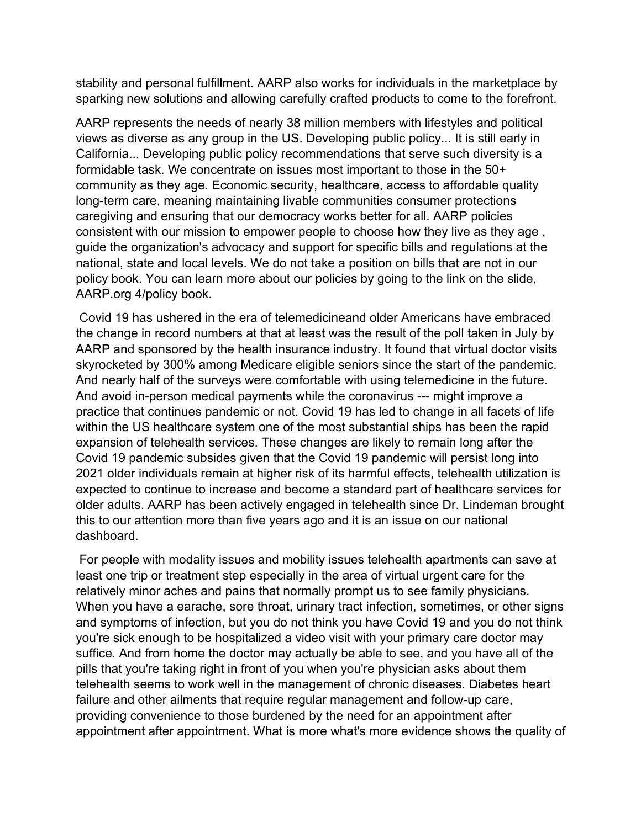stability and personal fulfillment. AARP also works for individuals in the marketplace by sparking new solutions and allowing carefully crafted products to come to the forefront.

AARP represents the needs of nearly 38 million members with lifestyles and political views as diverse as any group in the US. Developing public policy... It is still early in California... Developing public policy recommendations that serve such diversity is a formidable task. We concentrate on issues most important to those in the 50+ community as they age. Economic security, healthcare, access to affordable quality long-term care, meaning maintaining livable communities consumer protections caregiving and ensuring that our democracy works better for all. AARP policies consistent with our mission to empower people to choose how they live as they age , guide the organization's advocacy and support for specific bills and regulations at the national, state and local levels. We do not take a position on bills that are not in our policy book. You can learn more about our policies by going to the link on the slide, AARP.org 4/policy book.

Covid 19 has ushered in the era of telemedicineand older Americans have embraced the change in record numbers at that at least was the result of the poll taken in July by AARP and sponsored by the health insurance industry. It found that virtual doctor visits skyrocketed by 300% among Medicare eligible seniors since the start of the pandemic. And nearly half of the surveys were comfortable with using telemedicine in the future. And avoid in-person medical payments while the coronavirus --- might improve a practice that continues pandemic or not. Covid 19 has led to change in all facets of life within the US healthcare system one of the most substantial ships has been the rapid expansion of telehealth services. These changes are likely to remain long after the Covid 19 pandemic subsides given that the Covid 19 pandemic will persist long into 2021 older individuals remain at higher risk of its harmful effects, telehealth utilization is expected to continue to increase and become a standard part of healthcare services for older adults. AARP has been actively engaged in telehealth since Dr. Lindeman brought this to our attention more than five years ago and it is an issue on our national dashboard.

For people with modality issues and mobility issues telehealth apartments can save at least one trip or treatment step especially in the area of virtual urgent care for the relatively minor aches and pains that normally prompt us to see family physicians. When you have a earache, sore throat, urinary tract infection, sometimes, or other signs and symptoms of infection, but you do not think you have Covid 19 and you do not think you're sick enough to be hospitalized a video visit with your primary care doctor may suffice. And from home the doctor may actually be able to see, and you have all of the pills that you're taking right in front of you when you're physician asks about them telehealth seems to work well in the management of chronic diseases. Diabetes heart failure and other ailments that require regular management and follow-up care, providing convenience to those burdened by the need for an appointment after appointment after appointment. What is more what's more evidence shows the quality of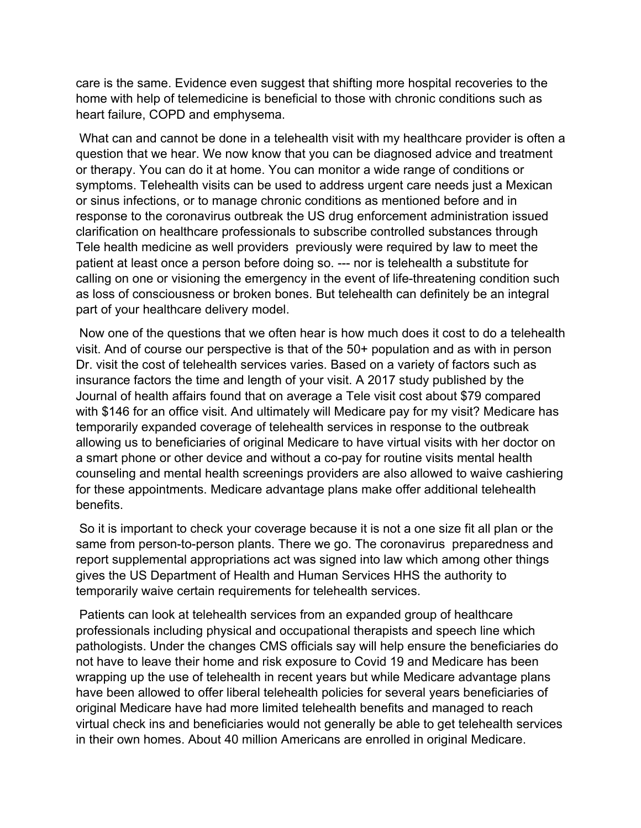care is the same. Evidence even suggest that shifting more hospital recoveries to the home with help of telemedicine is beneficial to those with chronic conditions such as heart failure, COPD and emphysema.

What can and cannot be done in a telehealth visit with my healthcare provider is often a question that we hear. We now know that you can be diagnosed advice and treatment or therapy. You can do it at home. You can monitor a wide range of conditions or symptoms. Telehealth visits can be used to address urgent care needs just a Mexican or sinus infections, or to manage chronic conditions as mentioned before and in response to the coronavirus outbreak the US drug enforcement administration issued clarification on healthcare professionals to subscribe controlled substances through Tele health medicine as well providers previously were required by law to meet the patient at least once a person before doing so. --- nor is telehealth a substitute for calling on one or visioning the emergency in the event of life-threatening condition such as loss of consciousness or broken bones. But telehealth can definitely be an integral part of your healthcare delivery model.

Now one of the questions that we often hear is how much does it cost to do a telehealth visit. And of course our perspective is that of the 50+ population and as with in person Dr. visit the cost of telehealth services varies. Based on a variety of factors such as insurance factors the time and length of your visit. A 2017 study published by the Journal of health affairs found that on average a Tele visit cost about \$79 compared with \$146 for an office visit. And ultimately will Medicare pay for my visit? Medicare has temporarily expanded coverage of telehealth services in response to the outbreak allowing us to beneficiaries of original Medicare to have virtual visits with her doctor on a smart phone or other device and without a co-pay for routine visits mental health counseling and mental health screenings providers are also allowed to waive cashiering for these appointments. Medicare advantage plans make offer additional telehealth benefits.

So it is important to check your coverage because it is not a one size fit all plan or the same from person-to-person plants. There we go. The coronavirus preparedness and report supplemental appropriations act was signed into law which among other things gives the US Department of Health and Human Services HHS the authority to temporarily waive certain requirements for telehealth services.

Patients can look at telehealth services from an expanded group of healthcare professionals including physical and occupational therapists and speech line which pathologists. Under the changes CMS officials say will help ensure the beneficiaries do not have to leave their home and risk exposure to Covid 19 and Medicare has been wrapping up the use of telehealth in recent years but while Medicare advantage plans have been allowed to offer liberal telehealth policies for several years beneficiaries of original Medicare have had more limited telehealth benefits and managed to reach virtual check ins and beneficiaries would not generally be able to get telehealth services in their own homes. About 40 million Americans are enrolled in original Medicare.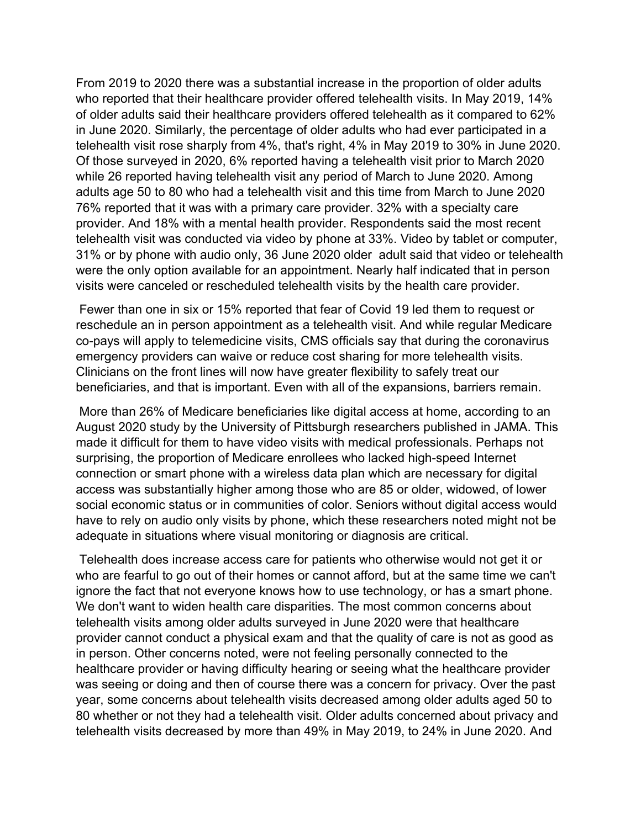From 2019 to 2020 there was a substantial increase in the proportion of older adults who reported that their healthcare provider offered telehealth visits. In May 2019, 14% of older adults said their healthcare providers offered telehealth as it compared to 62% in June 2020. Similarly, the percentage of older adults who had ever participated in a telehealth visit rose sharply from 4%, that's right, 4% in May 2019 to 30% in June 2020. Of those surveyed in 2020, 6% reported having a telehealth visit prior to March 2020 while 26 reported having telehealth visit any period of March to June 2020. Among adults age 50 to 80 who had a telehealth visit and this time from March to June 2020 76% reported that it was with a primary care provider. 32% with a specialty care provider. And 18% with a mental health provider. Respondents said the most recent telehealth visit was conducted via video by phone at 33%. Video by tablet or computer, 31% or by phone with audio only, 36 June 2020 older adult said that video or telehealth were the only option available for an appointment. Nearly half indicated that in person visits were canceled or rescheduled telehealth visits by the health care provider.

Fewer than one in six or 15% reported that fear of Covid 19 led them to request or reschedule an in person appointment as a telehealth visit. And while regular Medicare co-pays will apply to telemedicine visits, CMS officials say that during the coronavirus emergency providers can waive or reduce cost sharing for more telehealth visits. Clinicians on the front lines will now have greater flexibility to safely treat our beneficiaries, and that is important. Even with all of the expansions, barriers remain.

More than 26% of Medicare beneficiaries like digital access at home, according to an August 2020 study by the University of Pittsburgh researchers published in JAMA. This made it difficult for them to have video visits with medical professionals. Perhaps not surprising, the proportion of Medicare enrollees who lacked high-speed Internet connection or smart phone with a wireless data plan which are necessary for digital access was substantially higher among those who are 85 or older, widowed, of lower social economic status or in communities of color. Seniors without digital access would have to rely on audio only visits by phone, which these researchers noted might not be adequate in situations where visual monitoring or diagnosis are critical.

Telehealth does increase access care for patients who otherwise would not get it or who are fearful to go out of their homes or cannot afford, but at the same time we can't ignore the fact that not everyone knows how to use technology, or has a smart phone. We don't want to widen health care disparities. The most common concerns about telehealth visits among older adults surveyed in June 2020 were that healthcare provider cannot conduct a physical exam and that the quality of care is not as good as in person. Other concerns noted, were not feeling personally connected to the healthcare provider or having difficulty hearing or seeing what the healthcare provider was seeing or doing and then of course there was a concern for privacy. Over the past year, some concerns about telehealth visits decreased among older adults aged 50 to 80 whether or not they had a telehealth visit. Older adults concerned about privacy and telehealth visits decreased by more than 49% in May 2019, to 24% in June 2020. And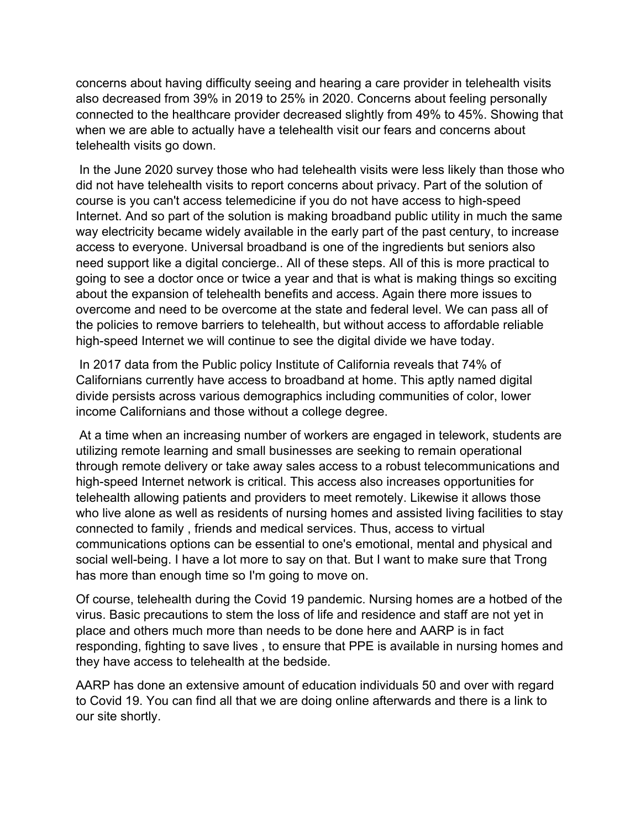concerns about having difficulty seeing and hearing a care provider in telehealth visits also decreased from 39% in 2019 to 25% in 2020. Concerns about feeling personally connected to the healthcare provider decreased slightly from 49% to 45%. Showing that when we are able to actually have a telehealth visit our fears and concerns about telehealth visits go down.

In the June 2020 survey those who had telehealth visits were less likely than those who did not have telehealth visits to report concerns about privacy. Part of the solution of course is you can't access telemedicine if you do not have access to high-speed Internet. And so part of the solution is making broadband public utility in much the same way electricity became widely available in the early part of the past century, to increase access to everyone. Universal broadband is one of the ingredients but seniors also need support like a digital concierge.. All of these steps. All of this is more practical to going to see a doctor once or twice a year and that is what is making things so exciting about the expansion of telehealth benefits and access. Again there more issues to overcome and need to be overcome at the state and federal level. We can pass all of the policies to remove barriers to telehealth, but without access to affordable reliable high-speed Internet we will continue to see the digital divide we have today.

In 2017 data from the Public policy Institute of California reveals that 74% of Californians currently have access to broadband at home. This aptly named digital divide persists across various demographics including communities of color, lower income Californians and those without a college degree.

At a time when an increasing number of workers are engaged in telework, students are utilizing remote learning and small businesses are seeking to remain operational through remote delivery or take away sales access to a robust telecommunications and high-speed Internet network is critical. This access also increases opportunities for telehealth allowing patients and providers to meet remotely. Likewise it allows those who live alone as well as residents of nursing homes and assisted living facilities to stay connected to family , friends and medical services. Thus, access to virtual communications options can be essential to one's emotional, mental and physical and social well-being. I have a lot more to say on that. But I want to make sure that Trong has more than enough time so I'm going to move on.

Of course, telehealth during the Covid 19 pandemic. Nursing homes are a hotbed of the virus. Basic precautions to stem the loss of life and residence and staff are not yet in place and others much more than needs to be done here and AARP is in fact responding, fighting to save lives , to ensure that PPE is available in nursing homes and they have access to telehealth at the bedside.

AARP has done an extensive amount of education individuals 50 and over with regard to Covid 19. You can find all that we are doing online afterwards and there is a link to our site shortly.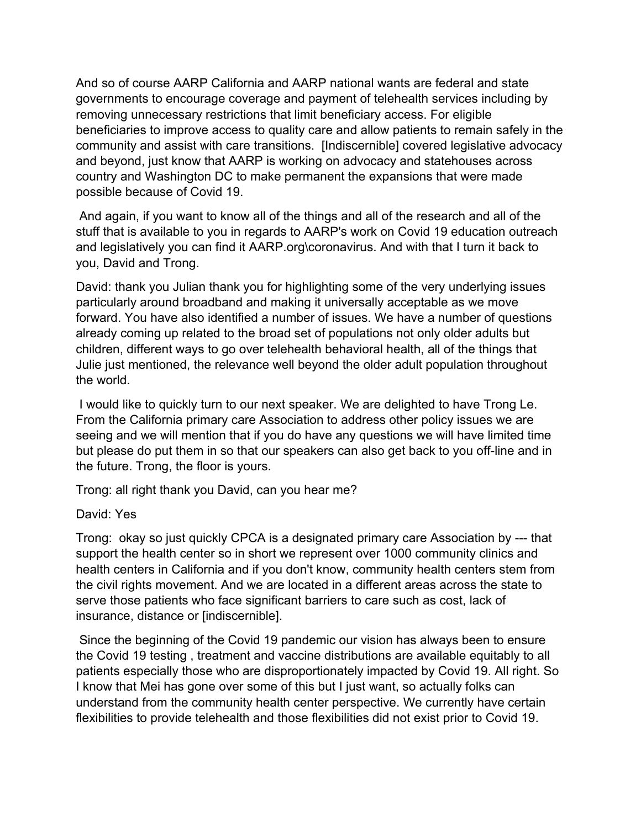And so of course AARP California and AARP national wants are federal and state governments to encourage coverage and payment of telehealth services including by removing unnecessary restrictions that limit beneficiary access. For eligible beneficiaries to improve access to quality care and allow patients to remain safely in the community and assist with care transitions. [Indiscernible] covered legislative advocacy and beyond, just know that AARP is working on advocacy and statehouses across country and Washington DC to make permanent the expansions that were made possible because of Covid 19.

And again, if you want to know all of the things and all of the research and all of the stuff that is available to you in regards to AARP's work on Covid 19 education outreach and legislatively you can find it AARP.org\coronavirus. And with that I turn it back to you, David and Trong.

David: thank you Julian thank you for highlighting some of the very underlying issues particularly around broadband and making it universally acceptable as we move forward. You have also identified a number of issues. We have a number of questions already coming up related to the broad set of populations not only older adults but children, different ways to go over telehealth behavioral health, all of the things that Julie just mentioned, the relevance well beyond the older adult population throughout the world.

I would like to quickly turn to our next speaker. We are delighted to have Trong Le. From the California primary care Association to address other policy issues we are seeing and we will mention that if you do have any questions we will have limited time but please do put them in so that our speakers can also get back to you off-line and in the future. Trong, the floor is yours.

Trong: all right thank you David, can you hear me?

## David: Yes

Trong: okay so just quickly CPCA is a designated primary care Association by --- that support the health center so in short we represent over 1000 community clinics and health centers in California and if you don't know, community health centers stem from the civil rights movement. And we are located in a different areas across the state to serve those patients who face significant barriers to care such as cost, lack of insurance, distance or [indiscernible].

Since the beginning of the Covid 19 pandemic our vision has always been to ensure the Covid 19 testing , treatment and vaccine distributions are available equitably to all patients especially those who are disproportionately impacted by Covid 19. All right. So I know that Mei has gone over some of this but I just want, so actually folks can understand from the community health center perspective. We currently have certain flexibilities to provide telehealth and those flexibilities did not exist prior to Covid 19.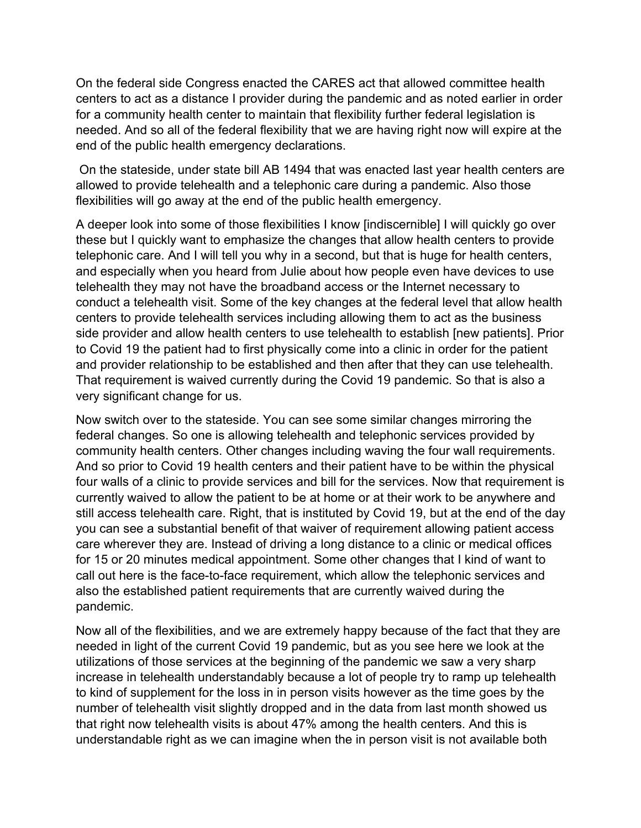On the federal side Congress enacted the CARES act that allowed committee health centers to act as a distance I provider during the pandemic and as noted earlier in order for a community health center to maintain that flexibility further federal legislation is needed. And so all of the federal flexibility that we are having right now will expire at the end of the public health emergency declarations.

On the stateside, under state bill AB 1494 that was enacted last year health centers are allowed to provide telehealth and a telephonic care during a pandemic. Also those flexibilities will go away at the end of the public health emergency.

A deeper look into some of those flexibilities I know [indiscernible] I will quickly go over these but I quickly want to emphasize the changes that allow health centers to provide telephonic care. And I will tell you why in a second, but that is huge for health centers, and especially when you heard from Julie about how people even have devices to use telehealth they may not have the broadband access or the Internet necessary to conduct a telehealth visit. Some of the key changes at the federal level that allow health centers to provide telehealth services including allowing them to act as the business side provider and allow health centers to use telehealth to establish [new patients]. Prior to Covid 19 the patient had to first physically come into a clinic in order for the patient and provider relationship to be established and then after that they can use telehealth. That requirement is waived currently during the Covid 19 pandemic. So that is also a very significant change for us.

Now switch over to the stateside. You can see some similar changes mirroring the federal changes. So one is allowing telehealth and telephonic services provided by community health centers. Other changes including waving the four wall requirements. And so prior to Covid 19 health centers and their patient have to be within the physical four walls of a clinic to provide services and bill for the services. Now that requirement is currently waived to allow the patient to be at home or at their work to be anywhere and still access telehealth care. Right, that is instituted by Covid 19, but at the end of the day you can see a substantial benefit of that waiver of requirement allowing patient access care wherever they are. Instead of driving a long distance to a clinic or medical offices for 15 or 20 minutes medical appointment. Some other changes that I kind of want to call out here is the face-to-face requirement, which allow the telephonic services and also the established patient requirements that are currently waived during the pandemic.

Now all of the flexibilities, and we are extremely happy because of the fact that they are needed in light of the current Covid 19 pandemic, but as you see here we look at the utilizations of those services at the beginning of the pandemic we saw a very sharp increase in telehealth understandably because a lot of people try to ramp up telehealth to kind of supplement for the loss in in person visits however as the time goes by the number of telehealth visit slightly dropped and in the data from last month showed us that right now telehealth visits is about 47% among the health centers. And this is understandable right as we can imagine when the in person visit is not available both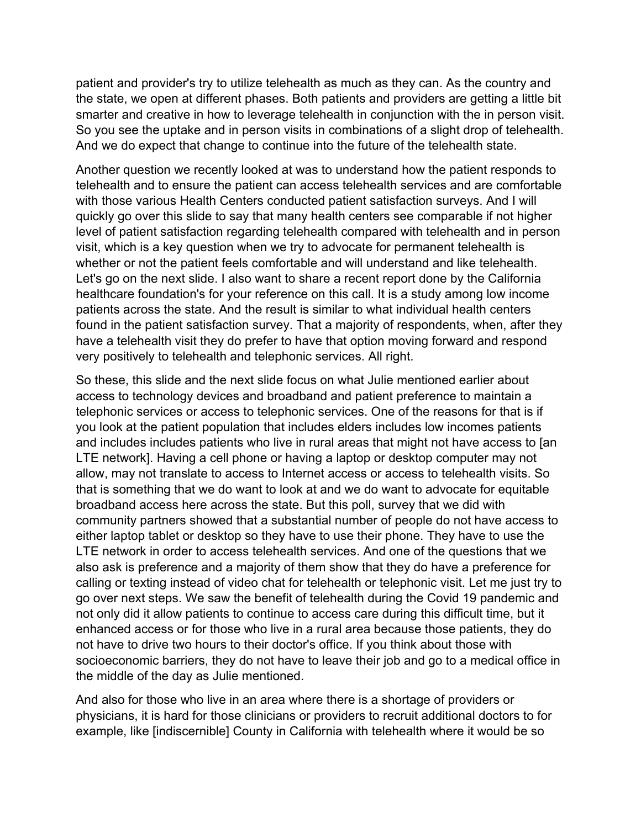patient and provider's try to utilize telehealth as much as they can. As the country and the state, we open at different phases. Both patients and providers are getting a little bit smarter and creative in how to leverage telehealth in conjunction with the in person visit. So you see the uptake and in person visits in combinations of a slight drop of telehealth. And we do expect that change to continue into the future of the telehealth state.

Another question we recently looked at was to understand how the patient responds to telehealth and to ensure the patient can access telehealth services and are comfortable with those various Health Centers conducted patient satisfaction surveys. And I will quickly go over this slide to say that many health centers see comparable if not higher level of patient satisfaction regarding telehealth compared with telehealth and in person visit, which is a key question when we try to advocate for permanent telehealth is whether or not the patient feels comfortable and will understand and like telehealth. Let's go on the next slide. I also want to share a recent report done by the California healthcare foundation's for your reference on this call. It is a study among low income patients across the state. And the result is similar to what individual health centers found in the patient satisfaction survey. That a majority of respondents, when, after they have a telehealth visit they do prefer to have that option moving forward and respond very positively to telehealth and telephonic services. All right.

So these, this slide and the next slide focus on what Julie mentioned earlier about access to technology devices and broadband and patient preference to maintain a telephonic services or access to telephonic services. One of the reasons for that is if you look at the patient population that includes elders includes low incomes patients and includes includes patients who live in rural areas that might not have access to [an LTE network]. Having a cell phone or having a laptop or desktop computer may not allow, may not translate to access to Internet access or access to telehealth visits. So that is something that we do want to look at and we do want to advocate for equitable broadband access here across the state. But this poll, survey that we did with community partners showed that a substantial number of people do not have access to either laptop tablet or desktop so they have to use their phone. They have to use the LTE network in order to access telehealth services. And one of the questions that we also ask is preference and a majority of them show that they do have a preference for calling or texting instead of video chat for telehealth or telephonic visit. Let me just try to go over next steps. We saw the benefit of telehealth during the Covid 19 pandemic and not only did it allow patients to continue to access care during this difficult time, but it enhanced access or for those who live in a rural area because those patients, they do not have to drive two hours to their doctor's office. If you think about those with socioeconomic barriers, they do not have to leave their job and go to a medical office in the middle of the day as Julie mentioned.

And also for those who live in an area where there is a shortage of providers or physicians, it is hard for those clinicians or providers to recruit additional doctors to for example, like [indiscernible] County in California with telehealth where it would be so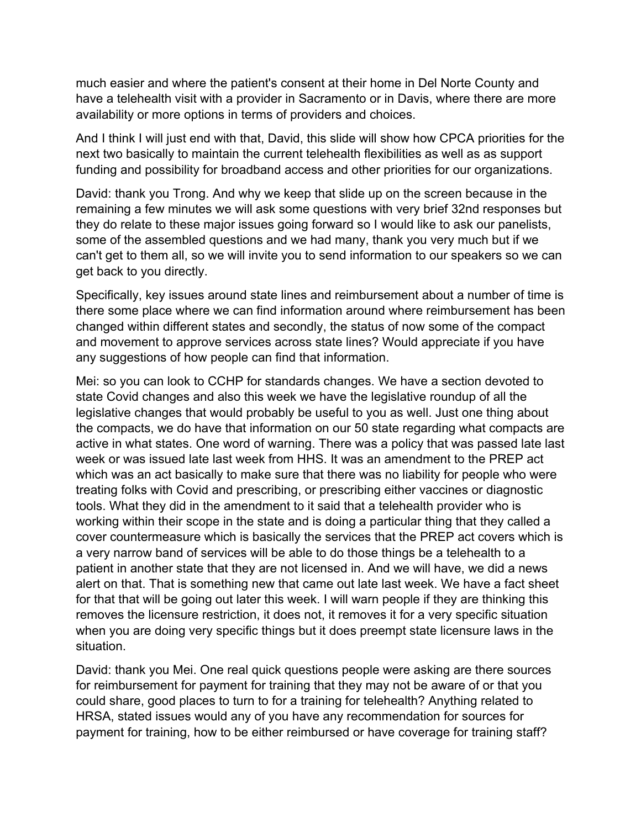much easier and where the patient's consent at their home in Del Norte County and have a telehealth visit with a provider in Sacramento or in Davis, where there are more availability or more options in terms of providers and choices.

And I think I will just end with that, David, this slide will show how CPCA priorities for the next two basically to maintain the current telehealth flexibilities as well as as support funding and possibility for broadband access and other priorities for our organizations.

David: thank you Trong. And why we keep that slide up on the screen because in the remaining a few minutes we will ask some questions with very brief 32nd responses but they do relate to these major issues going forward so I would like to ask our panelists, some of the assembled questions and we had many, thank you very much but if we can't get to them all, so we will invite you to send information to our speakers so we can get back to you directly.

Specifically, key issues around state lines and reimbursement about a number of time is there some place where we can find information around where reimbursement has been changed within different states and secondly, the status of now some of the compact and movement to approve services across state lines? Would appreciate if you have any suggestions of how people can find that information.

Mei: so you can look to CCHP for standards changes. We have a section devoted to state Covid changes and also this week we have the legislative roundup of all the legislative changes that would probably be useful to you as well. Just one thing about the compacts, we do have that information on our 50 state regarding what compacts are active in what states. One word of warning. There was a policy that was passed late last week or was issued late last week from HHS. It was an amendment to the PREP act which was an act basically to make sure that there was no liability for people who were treating folks with Covid and prescribing, or prescribing either vaccines or diagnostic tools. What they did in the amendment to it said that a telehealth provider who is working within their scope in the state and is doing a particular thing that they called a cover countermeasure which is basically the services that the PREP act covers which is a very narrow band of services will be able to do those things be a telehealth to a patient in another state that they are not licensed in. And we will have, we did a news alert on that. That is something new that came out late last week. We have a fact sheet for that that will be going out later this week. I will warn people if they are thinking this removes the licensure restriction, it does not, it removes it for a very specific situation when you are doing very specific things but it does preempt state licensure laws in the situation.

David: thank you Mei. One real quick questions people were asking are there sources for reimbursement for payment for training that they may not be aware of or that you could share, good places to turn to for a training for telehealth? Anything related to HRSA, stated issues would any of you have any recommendation for sources for payment for training, how to be either reimbursed or have coverage for training staff?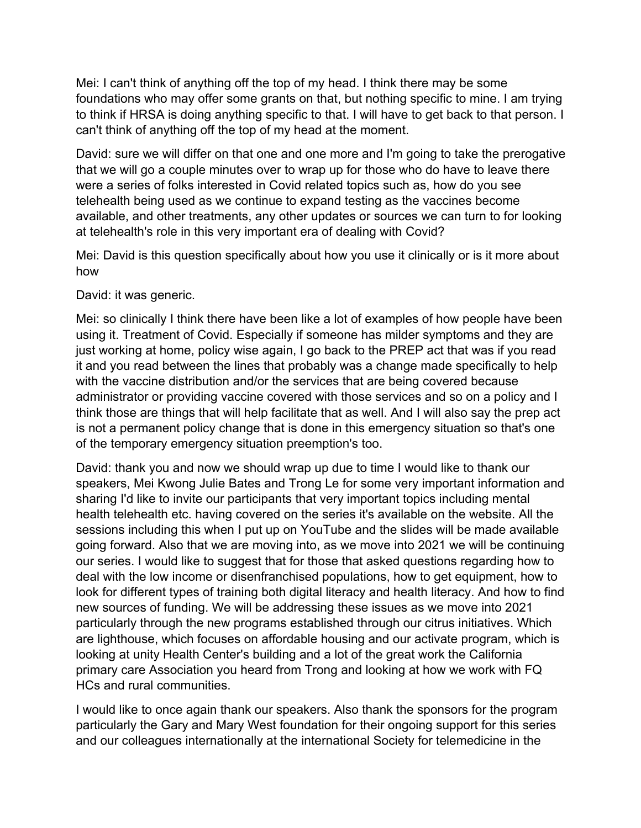Mei: I can't think of anything off the top of my head. I think there may be some foundations who may offer some grants on that, but nothing specific to mine. I am trying to think if HRSA is doing anything specific to that. I will have to get back to that person. I can't think of anything off the top of my head at the moment.

David: sure we will differ on that one and one more and I'm going to take the prerogative that we will go a couple minutes over to wrap up for those who do have to leave there were a series of folks interested in Covid related topics such as, how do you see telehealth being used as we continue to expand testing as the vaccines become available, and other treatments, any other updates or sources we can turn to for looking at telehealth's role in this very important era of dealing with Covid?

Mei: David is this question specifically about how you use it clinically or is it more about how

David: it was generic.

Mei: so clinically I think there have been like a lot of examples of how people have been using it. Treatment of Covid. Especially if someone has milder symptoms and they are just working at home, policy wise again, I go back to the PREP act that was if you read it and you read between the lines that probably was a change made specifically to help with the vaccine distribution and/or the services that are being covered because administrator or providing vaccine covered with those services and so on a policy and I think those are things that will help facilitate that as well. And I will also say the prep act is not a permanent policy change that is done in this emergency situation so that's one of the temporary emergency situation preemption's too.

David: thank you and now we should wrap up due to time I would like to thank our speakers, Mei Kwong Julie Bates and Trong Le for some very important information and sharing I'd like to invite our participants that very important topics including mental health telehealth etc. having covered on the series it's available on the website. All the sessions including this when I put up on YouTube and the slides will be made available going forward. Also that we are moving into, as we move into 2021 we will be continuing our series. I would like to suggest that for those that asked questions regarding how to deal with the low income or disenfranchised populations, how to get equipment, how to look for different types of training both digital literacy and health literacy. And how to find new sources of funding. We will be addressing these issues as we move into 2021 particularly through the new programs established through our citrus initiatives. Which are lighthouse, which focuses on affordable housing and our activate program, which is looking at unity Health Center's building and a lot of the great work the California primary care Association you heard from Trong and looking at how we work with FQ HCs and rural communities.

I would like to once again thank our speakers. Also thank the sponsors for the program particularly the Gary and Mary West foundation for their ongoing support for this series and our colleagues internationally at the international Society for telemedicine in the